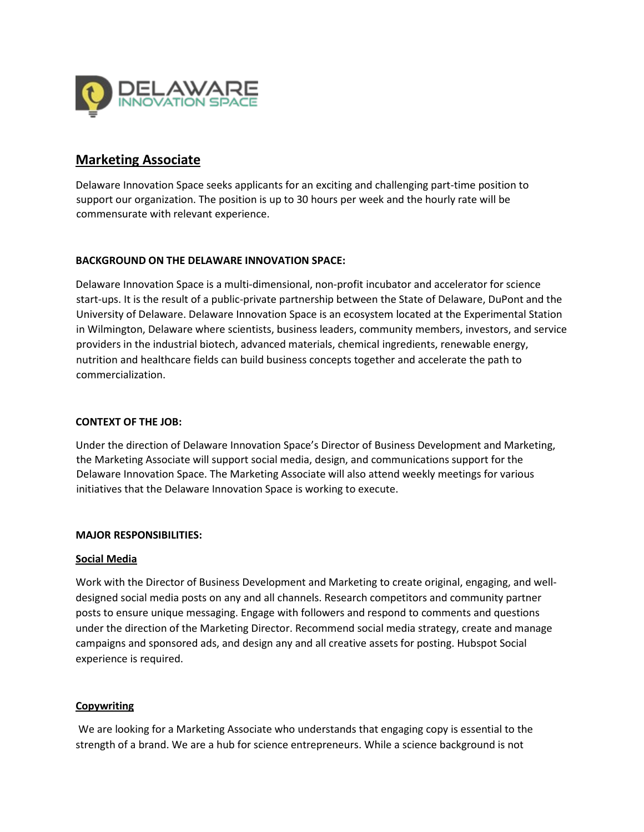

# **Marketing Associate**

Delaware Innovation Space seeks applicants for an exciting and challenging part-time position to support our organization. The position is up to 30 hours per week and the hourly rate will be commensurate with relevant experience.

### **BACKGROUND ON THE DELAWARE INNOVATION SPACE:**

Delaware Innovation Space is a multi-dimensional, non-profit incubator and accelerator for science start-ups. It is the result of a public-private partnership between the State of Delaware, DuPont and the University of Delaware. Delaware Innovation Space is an ecosystem located at the Experimental Station in Wilmington, Delaware where scientists, business leaders, community members, investors, and service providers in the industrial biotech, advanced materials, chemical ingredients, renewable energy, nutrition and healthcare fields can build business concepts together and accelerate the path to commercialization.

## **CONTEXT OF THE JOB:**

Under the direction of Delaware Innovation Space's Director of Business Development and Marketing, the Marketing Associate will support social media, design, and communications support for the Delaware Innovation Space. The Marketing Associate will also attend weekly meetings for various initiatives that the Delaware Innovation Space is working to execute.

### **MAJOR RESPONSIBILITIES:**

### **Social Media**

Work with the Director of Business Development and Marketing to create original, engaging, and welldesigned social media posts on any and all channels. Research competitors and community partner posts to ensure unique messaging. Engage with followers and respond to comments and questions under the direction of the Marketing Director. Recommend social media strategy, create and manage campaigns and sponsored ads, and design any and all creative assets for posting. Hubspot Social experience is required.

### **Copywriting**

We are looking for a Marketing Associate who understands that engaging copy is essential to the strength of a brand. We are a hub for science entrepreneurs. While a science background is not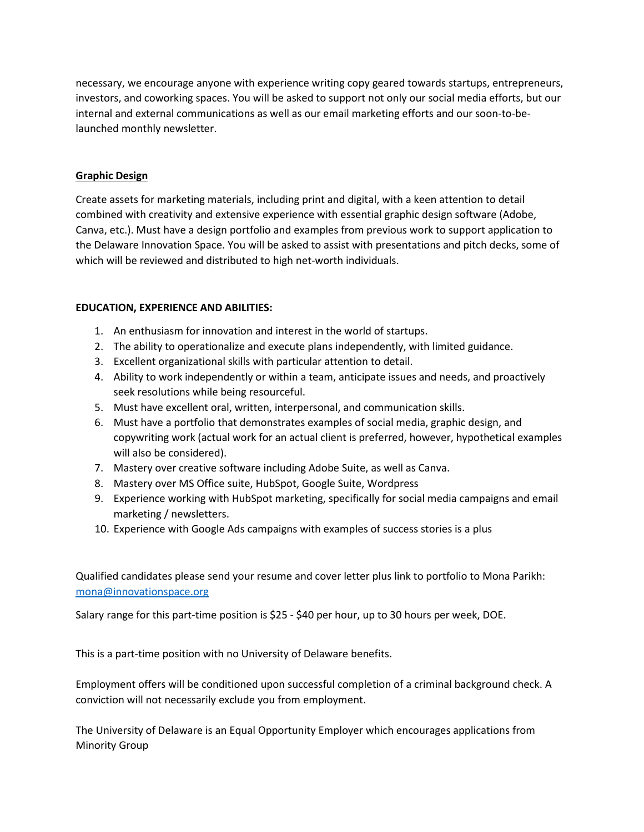necessary, we encourage anyone with experience writing copy geared towards startups, entrepreneurs, investors, and coworking spaces. You will be asked to support not only our social media efforts, but our internal and external communications as well as our email marketing efforts and our soon-to-belaunched monthly newsletter.

### **Graphic Design**

Create assets for marketing materials, including print and digital, with a keen attention to detail combined with creativity and extensive experience with essential graphic design software (Adobe, Canva, etc.). Must have a design portfolio and examples from previous work to support application to the Delaware Innovation Space. You will be asked to assist with presentations and pitch decks, some of which will be reviewed and distributed to high net-worth individuals.

### **EDUCATION, EXPERIENCE AND ABILITIES:**

- 1. An enthusiasm for innovation and interest in the world of startups.
- 2. The ability to operationalize and execute plans independently, with limited guidance.
- 3. Excellent organizational skills with particular attention to detail.
- 4. Ability to work independently or within a team, anticipate issues and needs, and proactively seek resolutions while being resourceful.
- 5. Must have excellent oral, written, interpersonal, and communication skills.
- 6. Must have a portfolio that demonstrates examples of social media, graphic design, and copywriting work (actual work for an actual client is preferred, however, hypothetical examples will also be considered).
- 7. Mastery over creative software including Adobe Suite, as well as Canva.
- 8. Mastery over MS Office suite, HubSpot, Google Suite, Wordpress
- 9. Experience working with HubSpot marketing, specifically for social media campaigns and email marketing / newsletters.
- 10. Experience with Google Ads campaigns with examples of success stories is a plus

Qualified candidates please send your resume and cover letter plus link to portfolio to Mona Parikh: [mona@innovationspace.org](mailto:mona@innovationspace.org)

Salary range for this part-time position is \$25 - \$40 per hour, up to 30 hours per week, DOE.

This is a part-time position with no University of Delaware benefits.

Employment offers will be conditioned upon successful completion of a criminal background check. A conviction will not necessarily exclude you from employment.

The University of Delaware is an Equal Opportunity Employer which encourages applications from Minority Group